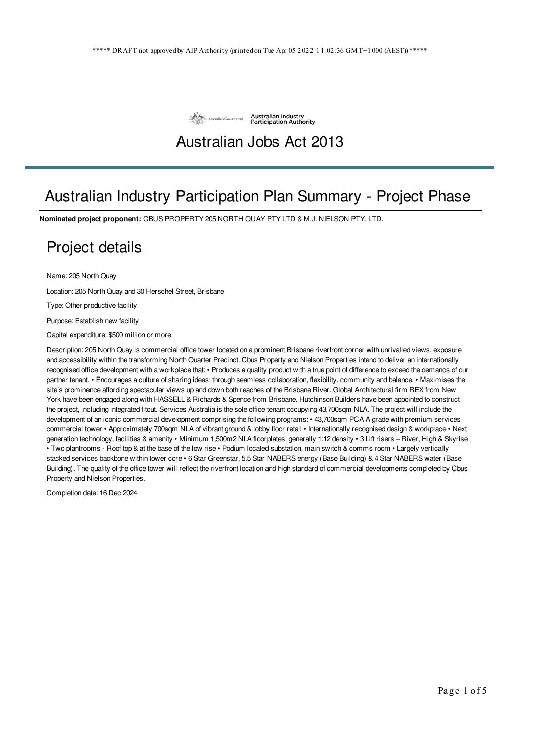

## Australian Jobs Act 2013

## Australian Industry Participation Plan Summary - Project Phase

**Nominated project proponent:** CBUS PROPERTY 205 NORTH QUAY PTY LTD & M.J. NIELSON PTY. LTD.

#### Project details

Name: 205 North Quay

Location: 205 North Quay and 30 Herschel Street, Brisbane

Type: Other productive facility

Purpose: Establish new facility

Capital expenditure: \$500 million or more

Description: 205 North Quay is commercial office tower located on a prominent Brisbane riverfront corner with unrivalled views, exposure and accessibility within the transforming North Quarter Precinct. Cbus Property and Nielson Properties intend to deliver an internationally recognised office development with a workplace that: • Produces a quality product with a true point of difference to exceed the demands of our partner tenant. • Encourages a culture of sharing ideas; through seamless collaboration, flexibility, community and balance. • Maximises the site's prominence affording spectacular views up and down both reaches of the Brisbane River. Global Architectural firm REX from New York have been engaged along with HASSELL & Richards & Spence from Brisbane. Hutchinson Builders have been appointed to construct the project, including integrated fitout. Services Australia is the sole office tenant occupying 43,700sqm NLA. The project will include the development of an iconic commercial development comprising the following programs: • 43,700sqm PCA A grade with premium services commercial tower • Approximately 700sqm NLA of vibrant ground & lobby floor retail • Internationally recognised design & workplace • Next generation technology, facilities & amenity • Minimum 1,500m2 NLA floorplates, generally 1:12 density • 3 Lift risers – River, High & Skyrise • Two plantrooms - Roof top & at the base of the low rise • Podium located substation, main switch & comms room • Largely vertically stacked services backbone within tower core • 6 Star Greenstar, 5.5 Star NABERS energy (Base Building) & 4 Star NABERS water (Base Building). The quality of the office tower will reflect the riverfront location and high standard of commercial developments completed by Cbus Property and Nielson Properties.

Completion date: 16 Dec 2024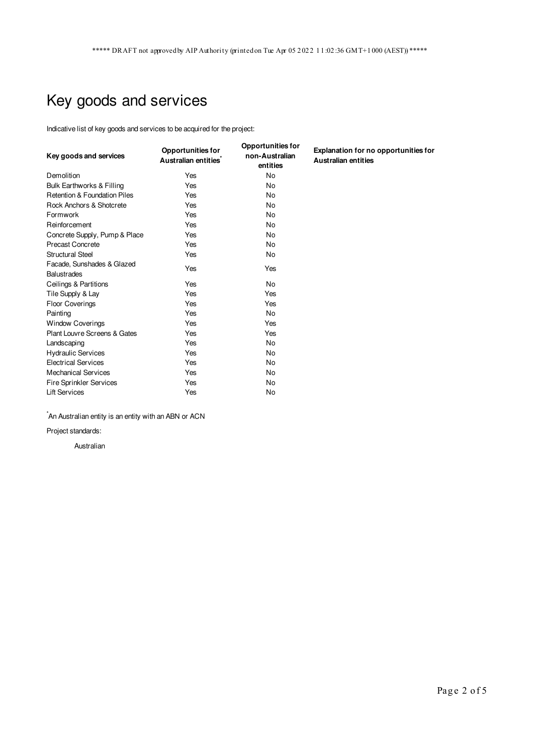# Key goods and services

Indicative list of key goods and services to be acquired for the project:

| Key goods and services                           | <b>Opportunities for</b><br>Australian entities <sup>*</sup> | <b>Opportunities for</b><br>non-Australian<br>entities | Explanation for no opportunities for<br><b>Australian entities</b> |
|--------------------------------------------------|--------------------------------------------------------------|--------------------------------------------------------|--------------------------------------------------------------------|
| Demolition                                       | Yes                                                          | <b>No</b>                                              |                                                                    |
| Bulk Earthworks & Filling                        | Yes                                                          | <b>No</b>                                              |                                                                    |
| <b>Retention &amp; Foundation Piles</b>          | Yes                                                          | No                                                     |                                                                    |
| Rock Anchors & Shotcrete                         | Yes                                                          | No                                                     |                                                                    |
| Formwork                                         | Yes                                                          | <b>No</b>                                              |                                                                    |
| Reinforcement                                    | Yes                                                          | <b>No</b>                                              |                                                                    |
| Concrete Supply, Pump & Place                    | Yes                                                          | No                                                     |                                                                    |
| <b>Precast Concrete</b>                          | Yes                                                          | <b>No</b>                                              |                                                                    |
| <b>Structural Steel</b>                          | Yes                                                          | No                                                     |                                                                    |
| Facade, Sunshades & Glazed<br><b>Balustrades</b> | Yes                                                          | Yes                                                    |                                                                    |
| Ceilings & Partitions                            | Yes                                                          | No                                                     |                                                                    |
| Tile Supply & Lay                                | Yes                                                          | Yes                                                    |                                                                    |
| <b>Floor Coverings</b>                           | Yes                                                          | Yes                                                    |                                                                    |
| Painting                                         | Yes                                                          | No                                                     |                                                                    |
| <b>Window Coverings</b>                          | Yes                                                          | Yes                                                    |                                                                    |
| Plant Louvre Screens & Gates                     | Yes                                                          | Yes                                                    |                                                                    |
| Landscaping                                      | Yes                                                          | <b>No</b>                                              |                                                                    |
| <b>Hydraulic Services</b>                        | Yes                                                          | No                                                     |                                                                    |
| <b>Electrical Services</b>                       | Yes                                                          | No                                                     |                                                                    |
| <b>Mechanical Services</b>                       | Yes                                                          | No                                                     |                                                                    |
| <b>Fire Sprinkler Services</b>                   | Yes                                                          | No                                                     |                                                                    |
| <b>Lift Services</b>                             | Yes                                                          | <b>No</b>                                              |                                                                    |

 $\check{}$ An Australian entity is an entity with an ABN or ACN

Project standards:

Australian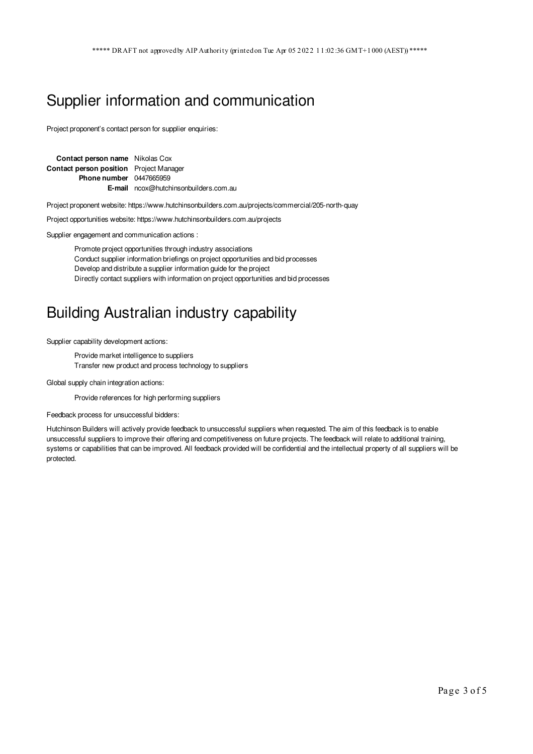#### Supplier information and communication

Project proponent's contact person for supplier enquiries:

| <b>Contact person name</b> Nikolas Cox         |                                                          |  |
|------------------------------------------------|----------------------------------------------------------|--|
| <b>Contact person position</b> Project Manager |                                                          |  |
| <b>Phone number</b> 0447665959                 |                                                          |  |
|                                                | <b>E-mail</b> $n\cos(\omega)$ hutchinson builders.com.au |  |

Project proponent website: https://www.hutchinsonbuilders.com.au/projects/commercial/205-north-quay

Project opportunities website: https://www.hutchinsonbuilders.com.au/projects

Supplier engagement and communication actions :

Promote project opportunities through industry associations Conduct supplier information briefings on project opportunities and bid processes Develop and distribute a supplier information guide for the project Directly contact suppliers with information on project opportunities and bid processes

### Building Australian industry capability

Supplier capability development actions:

Provide market intelligence to suppliers Transfer new product and process technology to suppliers

Global supply chain integration actions:

Provide references for high performing suppliers

Feedback process for unsuccessful bidders:

Hutchinson Builders will actively provide feedback to unsuccessful suppliers when requested. The aim of this feedback is to enable unsuccessful suppliers to improve their offering and competitiveness on future projects. The feedback will relate to additional training, systems or capabilities that can be improved. All feedback provided will be confidential and the intellectual property of all suppliers will be protected.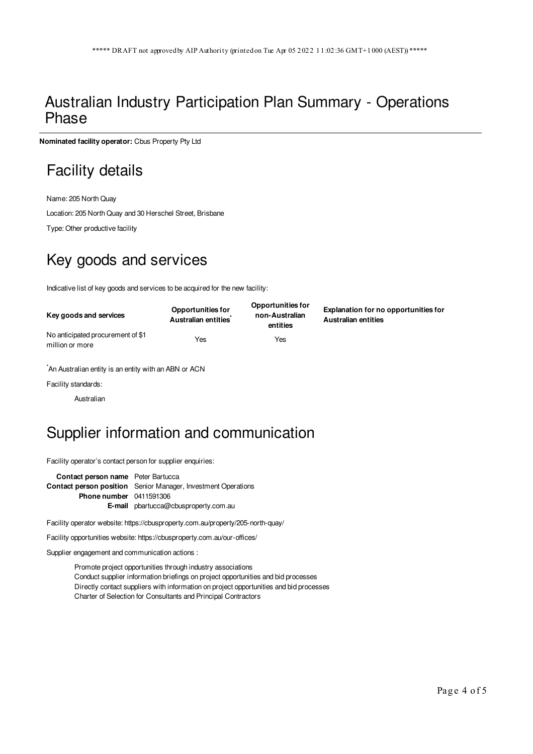#### Australian Industry Participation Plan Summary - Operations Phase

**Nominated facility operator:** Cbus Property Pty Ltd

## Facility details

Name: 205 North Quay Location: 205 North Quay and 30 Herschel Street, Brisbane

Type: Other productive facility

## Key goods and services

Indicative list of key goods and services to be acquired for the new facility:

| Key goods and services                               | <b>Opportunities for</b><br>Australian entities | <b>Opportunities for</b><br>non-Australian<br>entities | Explanation for no opportunities for<br><b>Australian entities</b> |
|------------------------------------------------------|-------------------------------------------------|--------------------------------------------------------|--------------------------------------------------------------------|
| No anticipated procurement of \$1<br>million or more | Yes                                             | Yes                                                    |                                                                    |

\*An Australian entity is an entity with an ABN or ACN

Facility standards:

Australian

## Supplier information and communication

Facility operator's contact person for supplier enquiries:

**Contact person name** Peter Bartucca **Contact person position** Senior Manager, Investment Operations **Phone number** 0411591306 **E-mail** pbartucca@cbusproperty.com.au

Facility operator website: https://cbusproperty.com.au/property/205-north-quay/

Facility opportunities website: https://cbusproperty.com.au/our-offices/

Supplier engagement and communication actions :

Promote project opportunities through industry associations Conduct supplier information briefings on project opportunities and bid processes Directly contact suppliers with information on project opportunities and bid processes Charter of Selection for Consultants and Principal Contractors